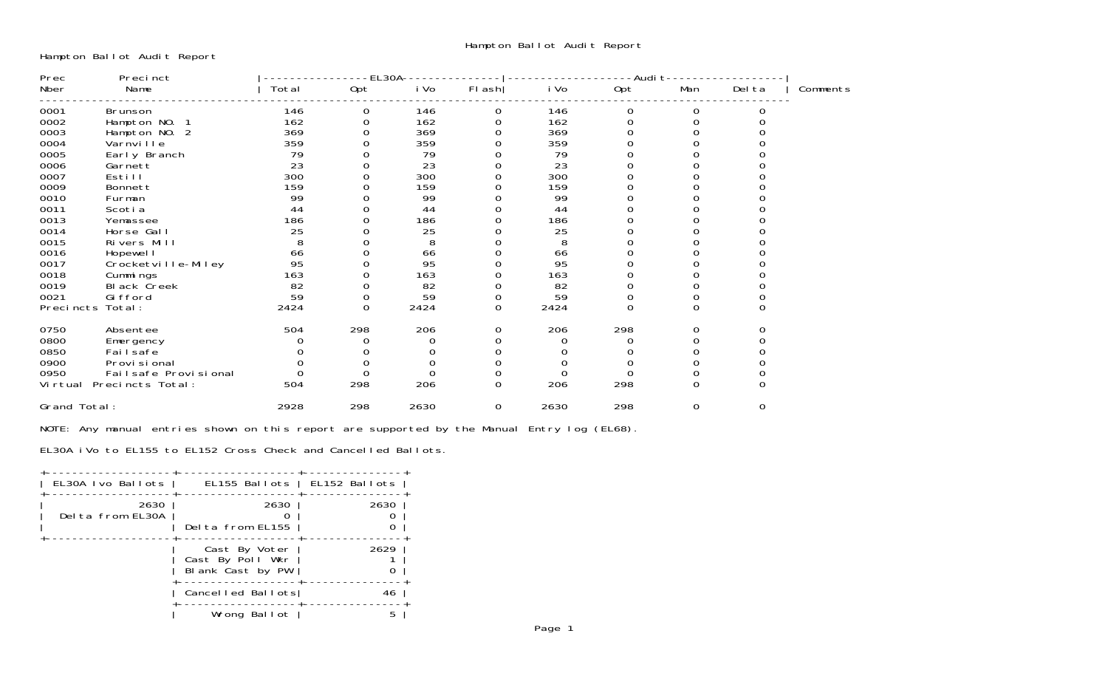Hampton Ballot Audit Report

| Prec         | Precinct             |       | EL30A |      |          | -Audi t |          |     |        |          |
|--------------|----------------------|-------|-------|------|----------|---------|----------|-----|--------|----------|
| Nber         | Name                 | Total | Opt   | i Vo | FI ash   | i Vo    | Opt      | Man | Del ta | Comments |
| 0001         | <b>Brunson</b>       | 146   | 0     | 146  | 0        | 146     | 0        | 0   |        |          |
| 0002         | Hampton NO.          | 162   |       | 162  |          | 162     |          |     |        |          |
| 0003         | Hampton NO. 2        | 369   |       | 369  |          | 369     |          |     |        |          |
| 0004         | Varnville            | 359   |       | 359  |          | 359     |          |     |        |          |
| 0005         | Early Branch         | 79    |       | 79   |          | 79      |          |     |        |          |
| 0006         | Garnett              | 23    |       | 23   |          | 23      |          |     |        |          |
| 0007         | Esti <sub>II</sub>   | 300   |       | 300  |          | 300     |          |     |        |          |
| 0009         | Bonnett              | 159   |       | 159  |          | 159     |          |     |        |          |
| 0010         | Furman               | 99    |       | 99   |          | 99      |          |     |        |          |
| 0011         | Scoti a              | 44    |       | 44   |          | 44      |          |     |        |          |
| 0013         | Yemassee             | 186   |       | 186  |          | 186     |          |     |        |          |
| 0014         | Horse Gall           | 25    |       | 25   |          | 25      |          |     |        |          |
| 0015         | Rivers Mill          | 8     |       | 8    |          | 8       |          |     |        |          |
| 0016         | Hopewel I            | 66    |       | 66   |          | 66      |          |     |        |          |
| 0017         | Crocketville-Miley   | 95    |       | 95   |          | 95      |          |     |        |          |
| 0018         | Cummings             | 163   |       | 163  |          | 163     |          |     |        |          |
| 0019         | Bl ack Creek         | 82    |       | 82   |          | 82      |          |     |        |          |
| 0021         | Gi fford             | 59    |       | 59   |          | 59      | 0        |     |        |          |
| Precincts    | Total:               | 2424  | 0     | 2424 | 0        | 2424    | $\Omega$ |     |        |          |
| 0750         | Absentee             | 504   | 298   | 206  |          | 206     | 298      |     |        |          |
| 0800         | Emergency            |       |       |      |          |         |          |     |        |          |
| 0850         | Fai I safe           |       |       |      |          |         |          |     |        |          |
| 0900         | Provi si onal        |       |       |      |          |         |          |     |        |          |
| 0950         | Failsafe Provisional |       | O     |      |          |         |          |     |        |          |
| Vi rtual     | Precincts Total:     | 504   | 298   | 206  | $\Omega$ | 206     | 298      |     |        |          |
| Grand Total: |                      | 2928  | 298   | 2630 | 0        | 2630    | 298      | 0   | 0      |          |

NOTE: Any manual entries shown on this report are supported by the Manual Entry log (EL68).

EL30A iVo to EL155 to EL152 Cross Check and Cancelled Ballots.

| EL30A Ivo Ballots        | EL155 Ballots   EL152 Ballots                         |      |
|--------------------------|-------------------------------------------------------|------|
| 2630<br>Delta from EL30A | 2630<br>Delta from EL155                              | 2630 |
|                          | Cast By Voter<br>Cast By Poll Wkr<br>Blank Cast by PW | 2629 |
|                          | Cancelled Ballots                                     | 46   |
|                          | Wrong Ballot                                          |      |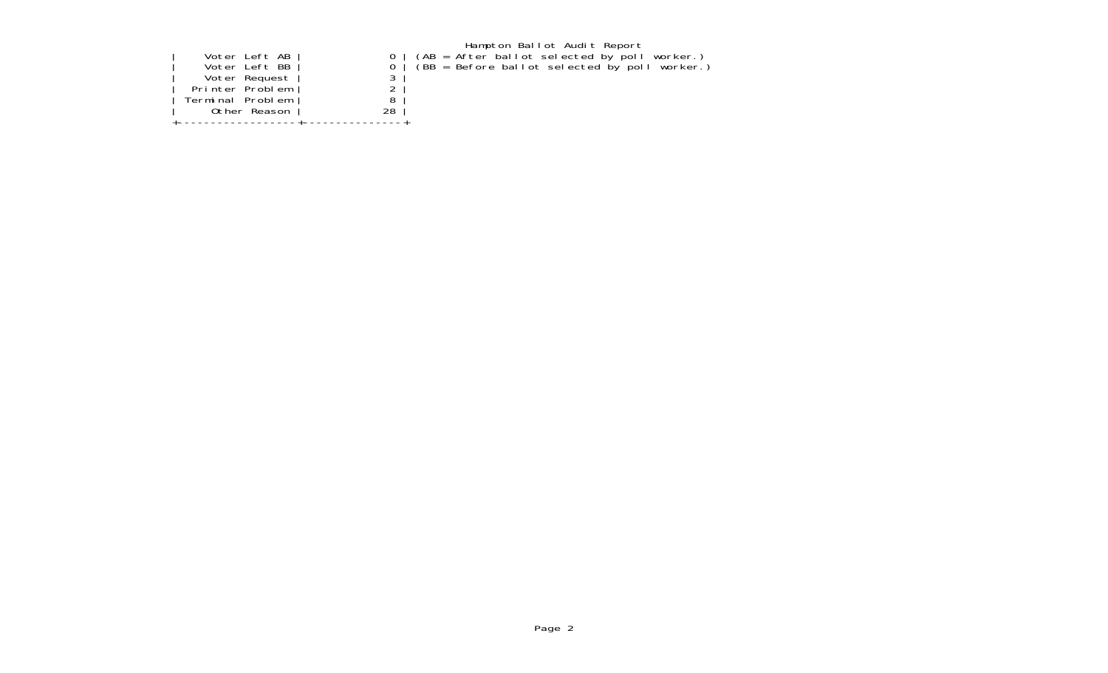|  |  | Voter Left AB<br>Voter Left BB<br>Voter Request<br>Printer Problem<br>Terminal Problem<br>Other Reason | 28 |  |
|--|--|--------------------------------------------------------------------------------------------------------|----|--|
|--|--|--------------------------------------------------------------------------------------------------------|----|--|

Hampton Ballot Audit Report | Voter Left AB | 0 | (AB = After ballot selected by poll worker.) | Voter Left BB | 0 | (BB = Before ballot selected by poll worker.)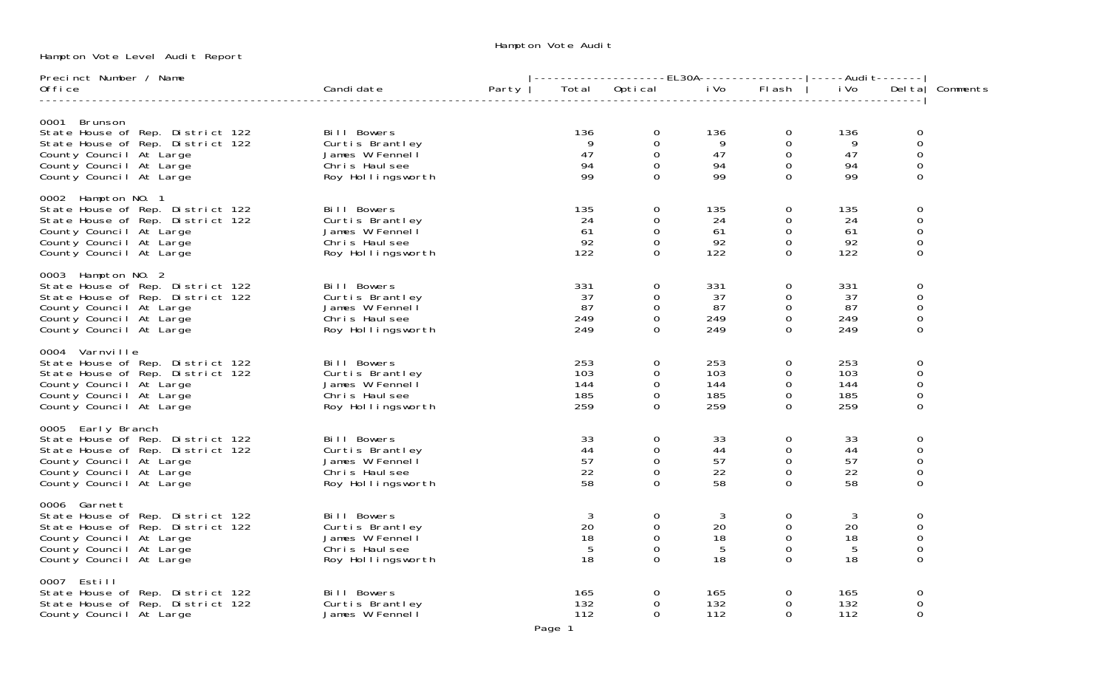Hampton Vote Level Audit Report

### Hampton Vote Audit

| Precinct Number / Name                                                                                                                                                      |                                                                                                                           |       |                                 |                                                                      | -------------------EL30A----------------- ----Audi                          t-------- |                                                                               |                                         |                                                                                     |          |
|-----------------------------------------------------------------------------------------------------------------------------------------------------------------------------|---------------------------------------------------------------------------------------------------------------------------|-------|---------------------------------|----------------------------------------------------------------------|---------------------------------------------------------------------------------------|-------------------------------------------------------------------------------|-----------------------------------------|-------------------------------------------------------------------------------------|----------|
| 0ffi ce                                                                                                                                                                     | Candi date                                                                                                                | Party |                                 |                                                                      | Total Optical iVo                                                                     | Flash                                                                         | i Vo                                    | Del tal                                                                             | Comments |
| 0001 Brunson<br>State House of Rep. District 122<br>State House of Rep. District 122<br>County Council At Large<br>County Council At Large<br>County Council At Large       | ict 122<br>ict 122 Bill Bowers<br>James W Fennell<br>Chris Haulsee<br>Roy Hollingsworth                                   |       | 136<br>9<br>47<br>94<br>99      | $\overline{0}$<br>$\Omega$<br>$\overline{0}$<br>$\Omega$<br>$\Omega$ | 136<br>$\overline{9}$<br>47<br>94<br>99                                               | $\overline{0}$<br>$\mathbf 0$<br>$\overline{0}$<br>$\overline{0}$<br>$\Omega$ | 136<br>$\overline{9}$<br>47<br>94<br>99 | 0<br>0<br>$\boldsymbol{0}$<br>$\boldsymbol{0}$<br>$\mathbf 0$                       |          |
| 0002 Hampton NO. 1<br>State House of Rep. District 122<br>State House of Rep. District 122<br>County Council At Large<br>County Council At Large<br>County Council At Large | ict 122<br>ict 122              Bill Bowers<br>James W Fennell<br>Chris Haulsee<br>Roy Hollingswort<br>Roy Hollingsworth  |       | 135<br>24<br>61<br>92<br>122    | $\Omega$<br>$\mathbf 0$<br>$\Omega$<br>$\overline{0}$<br>$\Omega$    | 135<br>24<br>61<br>92<br>122                                                          | $\overline{0}$<br>$\mathbf 0$<br>$\mathbf 0$<br>$\mathbf 0$<br>$\Omega$       | 135<br>24<br>61<br>92<br>122            | 0<br>$\mathsf{O}\xspace$<br>$\mathbf 0$<br>$\mathsf{O}\xspace$<br>0                 |          |
| 0003 Hampton NO. 2<br>State House of Rep. District 122<br>State House of Rep. District 122<br>County Council At Large<br>County Council At Large<br>County Council At Large | Bill Bowers<br>Curtis Brantley<br>James W Fennell<br>Chris Haulsee<br>Roy Hollingsworth                                   |       | 331<br>37<br>87<br>249<br>249   | $\Omega$<br>$\mathbf{O}$<br>$\Omega$<br>$\mathbf 0$<br>$\Omega$      | 331<br>37<br>87<br>249<br>249                                                         | 0<br>$\mathbf 0$<br>$\mathbf 0$<br>0<br>$\Omega$                              | 331<br>37<br>87<br>249<br>249           | 0<br>$\mathbf 0$<br>$\boldsymbol{0}$<br>$\mathbf 0$<br>$\mathbf{O}$                 |          |
| 0004 Varnville<br>State House of Rep. District 122<br>State House of Rep. District 122<br>County Council At Large<br>County Council At Large<br>County Council At Large     | Bill Bowers<br>Curtis Brantley<br>James W Fennell<br>Chris Haulsee<br>Roy Hollingsworth                                   |       | 253<br>103<br>144<br>185<br>259 | $\mathbf 0$<br>$\Omega$<br>$\Omega$<br>$\Omega$<br>$\Omega$          | 253<br>103<br>144<br>185<br>259                                                       | $\mathbf 0$<br>0<br>$\mathbf 0$<br>$\Omega$<br>$\Omega$                       | 253<br>103<br>144<br>185<br>259         | 0<br>$\mathbf 0$<br>$\boldsymbol{0}$<br>$\mathbf 0$<br>$\Omega$                     |          |
| 0005 Early Branch<br>State House of Rep. District 122<br>State House of Rep. District 122<br>County Council At Large<br>County Council At Large<br>County Council At Large  | Bill Bowers<br>Curtis Brantley<br>James W Fennell<br>Chris Haulsee<br>Roy Hollingsworth                                   |       | 33<br>44<br>57<br>22<br>58      | $\overline{0}$<br>$\Omega$<br>$\Omega$<br>$\Omega$<br>$\Omega$       | 33<br>44<br>57<br>22<br>58                                                            | 0<br>$\mathbf 0$<br>$\mathbf 0$<br>$\mathbf 0$<br>$\Omega$                    | 33<br>44<br>57<br>22<br>58              | $\mathbf 0$<br>$\mbox{O}$<br>$\boldsymbol{0}$<br>$\mathsf{O}\xspace$<br>$\mathbf 0$ |          |
| 0006 Garnett<br>State House of Rep. District 122<br>State House of Rep. District 122<br>County Council At Large<br>County Council At Large<br>County Council At Large       | rict 122<br>rict 122             Bill Bowers<br>James W Fennell<br>Chris Haulsee<br>Roy Hollingswort<br>Roy Hollingsworth |       | 3<br>20<br>18<br>5<br>18        | $\Omega$<br>$\mathbf{0}$<br>$\Omega$<br>$\Omega$<br>$\Omega$         | -3<br>20<br>18<br>-5<br>18                                                            | $\mathbf{O}$<br>$\overline{0}$<br>$\mathbf 0$<br>$\mathbf 0$<br>$\Omega$      | 3<br>20<br>18<br>5<br>18                | 0<br>$\mathsf{O}\xspace$<br>$\mathbf 0$<br>$\boldsymbol{0}$<br>$\Omega$             |          |
| 0007 Estill<br>State House of Rep. District 122<br>State House of Rep. District 122<br>County Council At Large                                                              | Bill Bowers<br>Curtis Brantley<br>James W Fennell                                                                         |       | 165<br>132<br>112               | $\mathbf{0}$<br>$\Omega$<br>$\Omega$                                 | 165<br>132<br>112                                                                     | $\overline{0}$<br>$\overline{0}$<br>$\Omega$                                  | 165<br>132<br>112                       | 0<br>0<br>0                                                                         |          |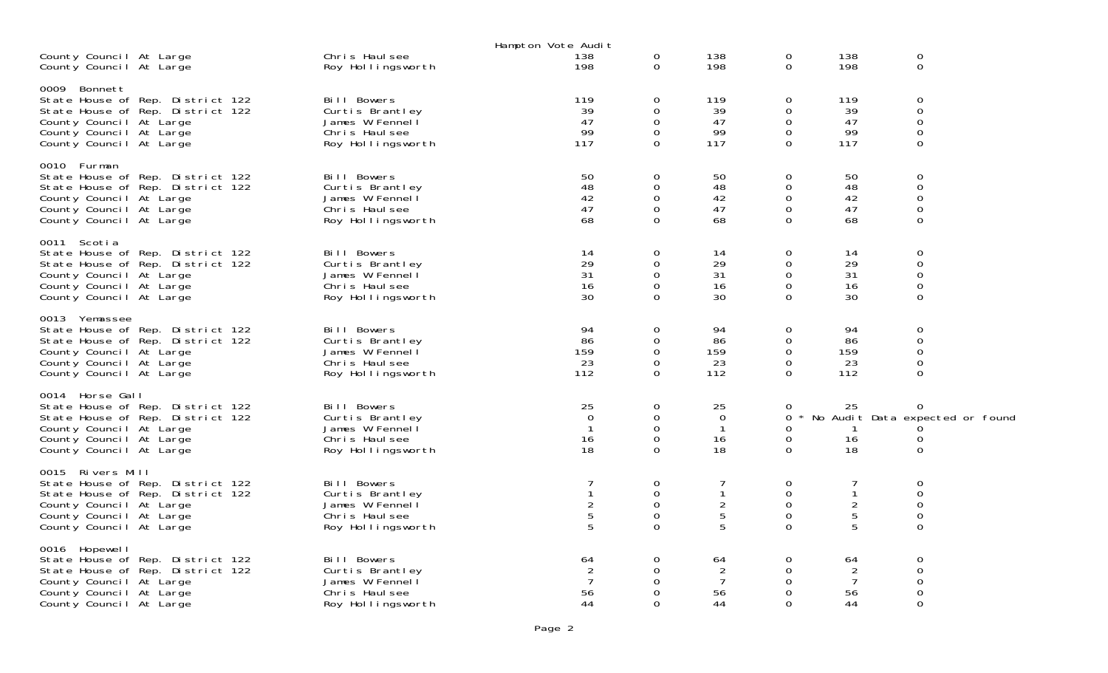|                                                                                                                                                                           |                                                                                         | Hampton Vote Audit                                         |                                                                       |                                                         |                                                                   |                                                    |                                                                              |
|---------------------------------------------------------------------------------------------------------------------------------------------------------------------------|-----------------------------------------------------------------------------------------|------------------------------------------------------------|-----------------------------------------------------------------------|---------------------------------------------------------|-------------------------------------------------------------------|----------------------------------------------------|------------------------------------------------------------------------------|
| County Council At Large<br>County Council At Large                                                                                                                        | Chris Haulsee<br>Roy Hollingsworth                                                      | 138<br>198                                                 | 0<br>$\mathbf 0$                                                      | 138<br>198                                              | 0<br>$\overline{0}$                                               | 138<br>198                                         | $\mathbf 0$<br>$\mathbf 0$                                                   |
| 0009 Bonnett<br>State House of Rep. District 122<br>State House of Rep. District 122<br>County Council At Large<br>County Council At Large<br>County Council At Large     | Bill Bowers<br>Curtis Brantley<br>James W Fennell<br>Chris Haulsee<br>Roy Hollingsworth | 119<br>39<br>47<br>99<br>117                               | $\mathbf 0$<br>0<br>0<br>$\mathbf 0$<br>$\Omega$                      | 119<br>39<br>47<br>99<br>117                            | $\mathbf 0$<br>$\Omega$<br>$\mathbf 0$<br>$\mathbf 0$<br>$\Omega$ | 119<br>39<br>47<br>99<br>117                       | $\mathbf 0$<br>$\mathbf 0$<br>$\mathbf 0$<br>$\mathbf 0$<br>$\Omega$         |
| 0010 Furman<br>State House of Rep. District 122<br>State House of Rep. District 122<br>County Council At Large<br>County Council At Large<br>County Council At Large      | Bill Bowers<br>Curtis Brantley<br>James W Fennell<br>Chris Haulsee<br>Roy Hollingsworth | 50<br>48<br>42<br>47<br>68                                 | 0<br>$\Omega$<br>0<br>$\mathbf 0$<br>$\Omega$                         | 50<br>48<br>42<br>47<br>68                              | 0<br>0<br>$\mathbf 0$<br>$\overline{0}$<br>$\Omega$               | 50<br>48<br>42<br>47<br>68                         | $\mathbf 0$<br>$\mathbf 0$<br>$\mathbf 0$<br>$\mathbf 0$<br>$\mathbf 0$      |
| 0011 Scotia<br>State House of Rep. District 122<br>State House of Rep. District 122<br>County Council At Large<br>County Council At Large<br>County Council At Large      | Bill Bowers<br>Curtis Brantley<br>James W Fennell<br>Chris Haulsee<br>Roy Hollingsworth | 14<br>29<br>31<br>16<br>30                                 | 0<br>0<br>0<br>$\Omega$<br>$\Omega$                                   | 14<br>29<br>31<br>16<br>30                              | 0<br>0<br>$\mathbf 0$<br>$\Omega$<br>$\Omega$                     | 14<br>29<br>31<br>16<br>30                         | $\boldsymbol{0}$<br>$\mathbf 0$<br>$\mathbf 0$<br>$\overline{0}$<br>$\Omega$ |
| 0013 Yemassee<br>State House of Rep. District 122<br>State House of Rep. District 122<br>County Council At Large<br>County Council At Large<br>County Council At Large    | Bill Bowers<br>Curtis Brantley<br>James W Fennell<br>Chris Haulsee<br>Roy Hollingsworth | 94<br>86<br>159<br>23<br>112                               | 0<br>0<br>$\mathbf 0$<br>$\Omega$<br>0                                | 94<br>86<br>159<br>23<br>112                            | 0<br>0<br>$\mathbf 0$<br>$\Omega$<br>$\Omega$                     | 94<br>86<br>159<br>23<br>112                       | 0<br>$\mathbf 0$<br>$\mathbf 0$<br>$\mathbf 0$<br>$\Omega$                   |
| 0014 Horse Gall<br>State House of Rep. District 122<br>State House of Rep. District 122<br>County Council At Large<br>County Council At Large<br>County Council At Large  | Bill Bowers<br>Curtis Brantley<br>James W Fennell<br>Chris Haulsee<br>Roy Hollingsworth | 25<br>$\overline{0}$<br>$\mathbf{1}$<br>16<br>18           | 0<br>0<br>$\mathbf 0$<br>$\mathbf 0$<br>0                             | 25<br>$\mathbf 0$<br>$\overline{1}$<br>16<br>18         | 0<br>0<br>0<br>0<br>0                                             | 25<br>$\mathbf{1}$<br>16<br>18                     | 0<br>* No Audit Data expected or found<br>0<br>$\mathbf 0$                   |
| 0015 Rivers Mill<br>State House of Rep. District 122<br>State House of Rep. District 122<br>County Council At Large<br>County Council At Large<br>County Council At Large | Bill Bowers<br>Curtis Brantley<br>James W Fennell<br>Chris Haulsee<br>Roy Hollingsworth | 7<br>$\mathbf{1}$<br>$\overline{2}$<br>$\overline{5}$<br>5 | 0<br>$\mathbf 0$<br>$\mathsf{O}\xspace$<br>$\mathbf 0$<br>$\mathbf 0$ | 7<br>$\mathbf{1}$<br>$\overline{2}$<br>$\mathbf 5$<br>5 | 0<br>0<br>$\mathbf 0$<br>$\mathbf 0$<br>$\mathbf 0$               | 7<br>$\mathbf{1}$<br>$\sqrt{2}$<br>5<br>5          | 0<br>$\mathbf 0$<br>$\boldsymbol{0}$<br>$\boldsymbol{0}$<br>$\mathbf 0$      |
| 0016 Hopewell<br>State House of Rep. District 122<br>State House of Rep. District 122<br>County Council At Large<br>County Council At Large<br>County Council At Large    | Bill Bowers<br>Curtis Brantley<br>James W Fennel<br>Chris Haulsee<br>Roy Hollingsworth  | 64<br>$\overline{2}$<br>$\overline{7}$<br>56<br>44         | 0<br>0<br>0<br>0<br>0                                                 | 64<br>$\overline{2}$<br>$\overline{7}$<br>56<br>44      | 0<br>$\Omega$<br>$\Omega$<br>0<br>$\Omega$                        | 64<br>$\overline{2}$<br>$\overline{7}$<br>56<br>44 | 0<br>$\mathbf 0$<br>$\mathbf 0$<br>$\mathbf 0$<br>$\Omega$                   |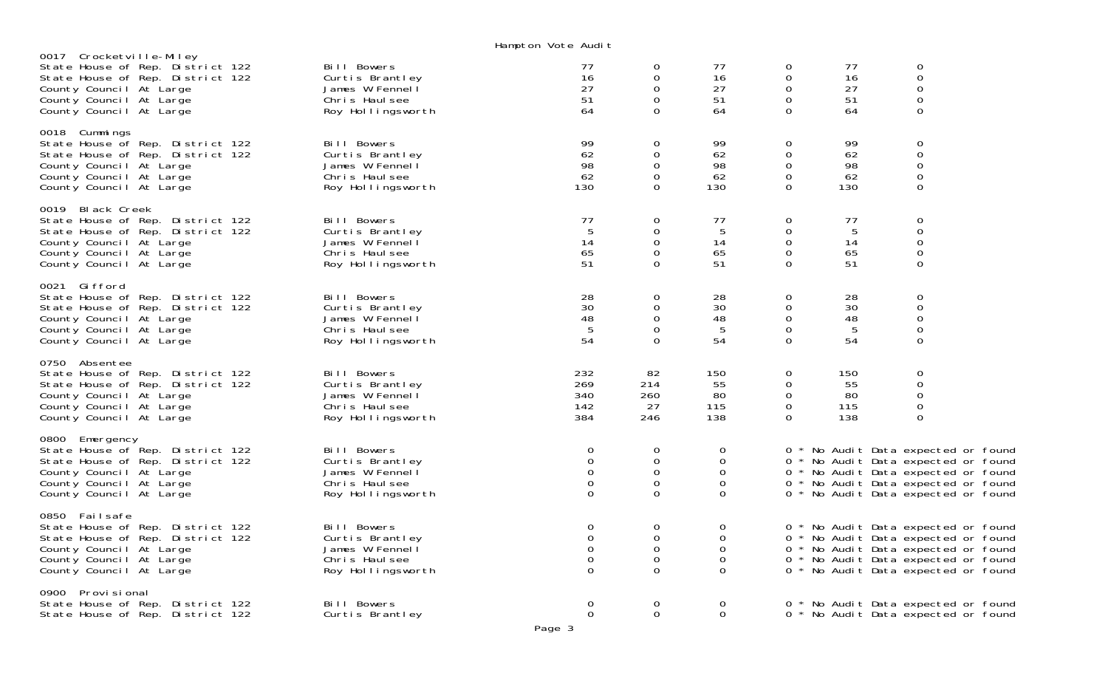Hampton Vote Audit

|                                                                                                                                                                                  |                                                                                         | Trampton vote muurt                                        |                                           |                                               |                                                  |                               |                                                                                                                                                                                                 |  |
|----------------------------------------------------------------------------------------------------------------------------------------------------------------------------------|-----------------------------------------------------------------------------------------|------------------------------------------------------------|-------------------------------------------|-----------------------------------------------|--------------------------------------------------|-------------------------------|-------------------------------------------------------------------------------------------------------------------------------------------------------------------------------------------------|--|
| 0017 Crocketville-Miley<br>State House of Rep. District 122<br>State House of Rep. District 122<br>County Council At Large<br>County Council At Large<br>County Council At Large | Bill Bowers<br>Curtis Brantley<br>James W Fennel<br>Chris Haulsee<br>Roy Hollingsworth  | 77<br>16<br>27<br>51<br>64                                 | 0<br>0<br>0<br>0<br>$\Omega$              | 77<br>16<br>27<br>51<br>64                    | 0<br>0<br>0<br>$\mathbf 0$<br>$\Omega$           | 77<br>16<br>27<br>51<br>64    | $\boldsymbol{0}$<br>$\boldsymbol{0}$<br>$\boldsymbol{0}$<br>$\mathbf 0$<br>0                                                                                                                    |  |
| 0018 Cummings<br>State House of Rep. District 122<br>State House of Rep. District 122<br>County Council At Large<br>County Council At Large<br>County Council At Large           | Bill Bowers<br>Curtis Brantley<br>James W Fennell<br>Chris Haulsee<br>Roy Hollingsworth | 99<br>62<br>98<br>62<br>130                                | 0<br>0<br>0<br>0<br>$\Omega$              | 99<br>62<br>98<br>62<br>130                   | 0<br>0<br>0<br>$\mathbf 0$<br>$\Omega$           | 99<br>62<br>98<br>62<br>130   | 0<br>$\boldsymbol{0}$<br>$\mathbf 0$<br>$\mathbf 0$<br>$\Omega$                                                                                                                                 |  |
| 0019 Black Creek<br>State House of Rep. District 122<br>State House of Rep. District 122<br>County Council At Large<br>County Council At Large<br>County Council At Large        | Bill Bowers<br>Curtis Brantley<br>James W Fennell<br>Chris Haulsee<br>Roy Hollingsworth | 77<br>5<br>14<br>65<br>51                                  | 0<br>0<br>0<br>$\Omega$<br>0              | 77<br>5<br>14<br>65<br>51                     | 0<br>$\boldsymbol{0}$<br>0<br>0<br>$\Omega$      | 77<br>5<br>14<br>65<br>51     | 0<br>$\mathsf{O}\xspace$<br>$\boldsymbol{0}$<br>$\boldsymbol{0}$<br>0                                                                                                                           |  |
| 0021 Gifford<br>State House of Rep. District 122<br>State House of Rep. District 122<br>County Council At Large<br>County Council At Large<br>County Council At Large            | Bill Bowers<br>Curtis Brantley<br>James W Fennell<br>Chris Haulsee<br>Roy Hollingsworth | 28<br>30<br>48<br>5<br>54                                  | 0<br>0<br>0<br>0<br>$\Omega$              | 28<br>30<br>48<br>$\overline{5}$<br>54        | 0<br>0<br>$\mathbf 0$<br>$\mathbf 0$<br>$\Omega$ | 28<br>30<br>48<br>5<br>54     | $\mathbf 0$<br>$\mathsf{O}\xspace$<br>$\boldsymbol{0}$<br>$\mathbf 0$<br>$\Omega$                                                                                                               |  |
| 0750 Absentee<br>State House of Rep. District 122<br>State House of Rep. District 122<br>County Council At Large<br>County Council At Large<br>County Council At Large           | Bill Bowers<br>Curtis Brantley<br>James W Fennell<br>Chris Haulsee<br>Roy Hollingsworth | 232<br>269<br>340<br>142<br>384                            | 82<br>214<br>260<br>27<br>246             | 150<br>55<br>80<br>115<br>138                 | 0<br>0<br>$\mathbf 0$<br>0<br>$\Omega$           | 150<br>55<br>80<br>115<br>138 | 0<br>$\mathbf 0$<br>$\mathbf 0$<br>$\boldsymbol{0}$<br>$\Omega$                                                                                                                                 |  |
| 0800 Emergency<br>State House of Rep. District 122<br>State House of Rep. District 122<br>County Council At Large<br>County Council At Large<br>County Council At Large          | Bill Bowers<br>Curtis Brantley<br>James W Fennell<br>Chris Haulsee<br>Roy Hollingsworth | 0<br>$\mathbf 0$<br>$\mathbf 0$<br>$\mathbf 0$<br>$\Omega$ | 0<br>0<br>$\mathbf 0$<br>$\mathbf 0$<br>0 | 0<br>0<br>0<br>$\mathbf 0$<br>$\Omega$        |                                                  |                               | 0 * No Audit Data expected or found<br>0 * No Audit Data expected or found<br>0 * No Audit Data expected or found<br>0 * No Audit Data expected or found<br>0 * No Audit Data expected or found |  |
| 0850 Failsafe<br>State House of Rep. District 122<br>State House of Rep. District 122<br>County Council At Large<br>County Council At Large<br>County Council At Large           | Bill Bowers<br>Curtis Brantley<br>James W Fennell<br>Chris Haulsee<br>Roy Hollingsworth | $\mathbf 0$<br>$\mathbf 0$<br>0<br>$\mathbf 0$<br>$\Omega$ | 0<br>$\Omega$<br>0<br>0<br>$\Omega$       | 0<br>$\Omega$<br>$\mathbf 0$<br>0<br>$\Omega$ |                                                  |                               | 0 * No Audit Data expected or found<br>0 * No Audit Data expected or found<br>0 * No Audit Data expected or found<br>0 * No Audit Data expected or found<br>0 * No Audit Data expected or found |  |
| 0900 Provisional<br>State House of Rep. District 122<br>State House of Rep. District 122                                                                                         | Bill Bowers<br>Curtis Brantley                                                          | O<br>$\Omega$                                              | 0<br>$\mathbf 0$                          | $\cup$<br>$\Omega$                            |                                                  |                               | 0 * No Audit Data expected or found<br>0 * No Audit Data expected or found                                                                                                                      |  |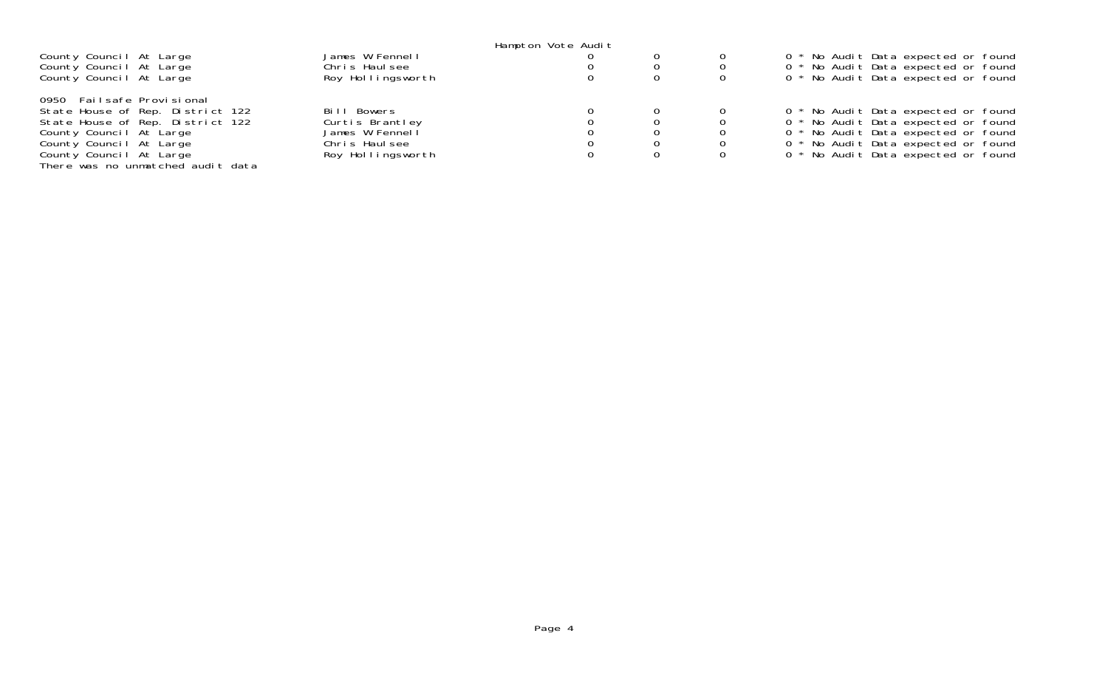|                                   |                   | Hampton Vote Audit |  |                                     |
|-----------------------------------|-------------------|--------------------|--|-------------------------------------|
| County Council At Large           | James W Fennell   |                    |  | 0 * No Audit Data expected or found |
| County Council At Large           | Chris Haulsee     |                    |  | 0 * No Audit Data expected or found |
| County Council At Large           | Roy Hollingsworth |                    |  | 0 * No Audit Data expected or found |
| 0950 Failsafe Provisional         |                   |                    |  |                                     |
| State House of Rep. District 122  | Bill Bowers       |                    |  | 0 * No Audit Data expected or found |
| State House of Rep. District 122  | Curtis Brantley   |                    |  | 0 * No Audit Data expected or found |
| County Council At Large           | James W Fennell   |                    |  | 0 * No Audit Data expected or found |
| County Council At Large           | Chris Haulsee     |                    |  | 0 * No Audit Data expected or found |
| County Council At Large           | Roy Hollingsworth |                    |  | 0 * No Audit Data expected or found |
| There was no unmatched audit data |                   |                    |  |                                     |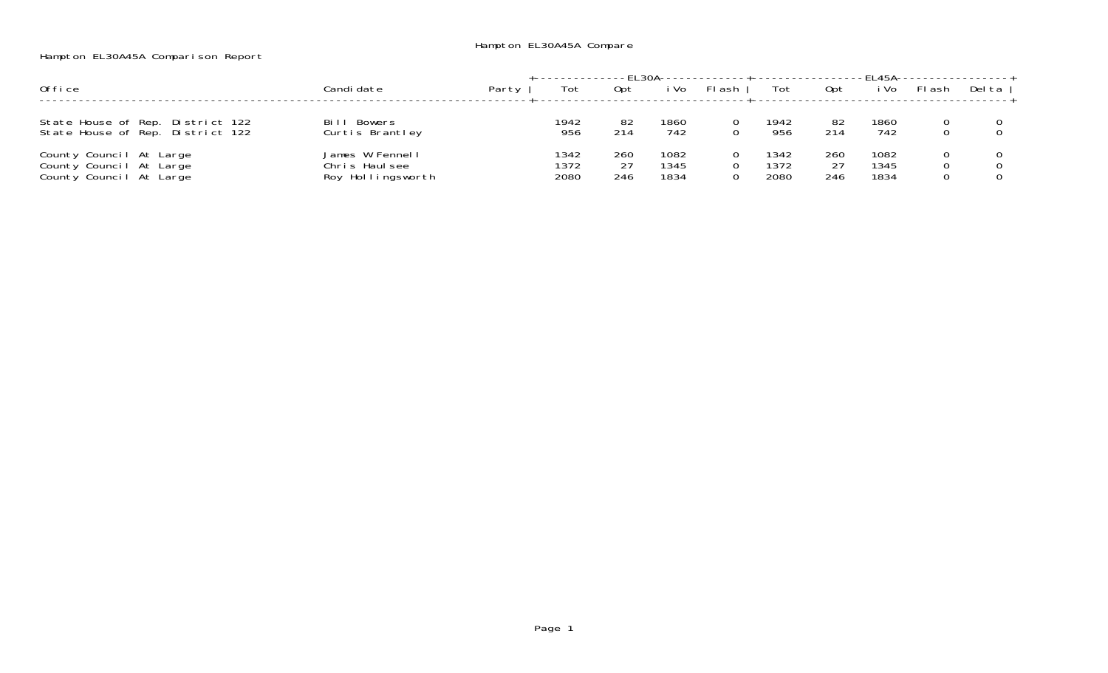## Hampton EL30A45A Comparison Report

|                                                                               |                                                       |       |                      |                  |                      | -FI 30A--------------+--------------- |                      |                  |                      |        |        |
|-------------------------------------------------------------------------------|-------------------------------------------------------|-------|----------------------|------------------|----------------------|---------------------------------------|----------------------|------------------|----------------------|--------|--------|
| Office                                                                        | Candi date                                            | Party | Tot                  | Opt              | i Vo                 | FI ash                                | Tot                  | 0pt              | i Vo                 | FI ash | Del ta |
| State House of Rep. District 122<br>State House of Rep. District 122          | Bowers<br>Bill<br>Curtis Brantley                     |       | 1942<br>956          | 82<br>214        | 1860<br>742          |                                       | 1942<br>956          | 82<br>214        | 1860<br>742          |        |        |
| County Council At Large<br>County Council At Large<br>County Council At Large | James W Fennell<br>Chris Haulsee<br>Roy Hollingsworth |       | 1342<br>1372<br>2080 | 260<br>27<br>246 | 1082<br>1345<br>1834 |                                       | 1342<br>1372<br>2080 | 260<br>27<br>246 | 1082<br>1345<br>1834 |        |        |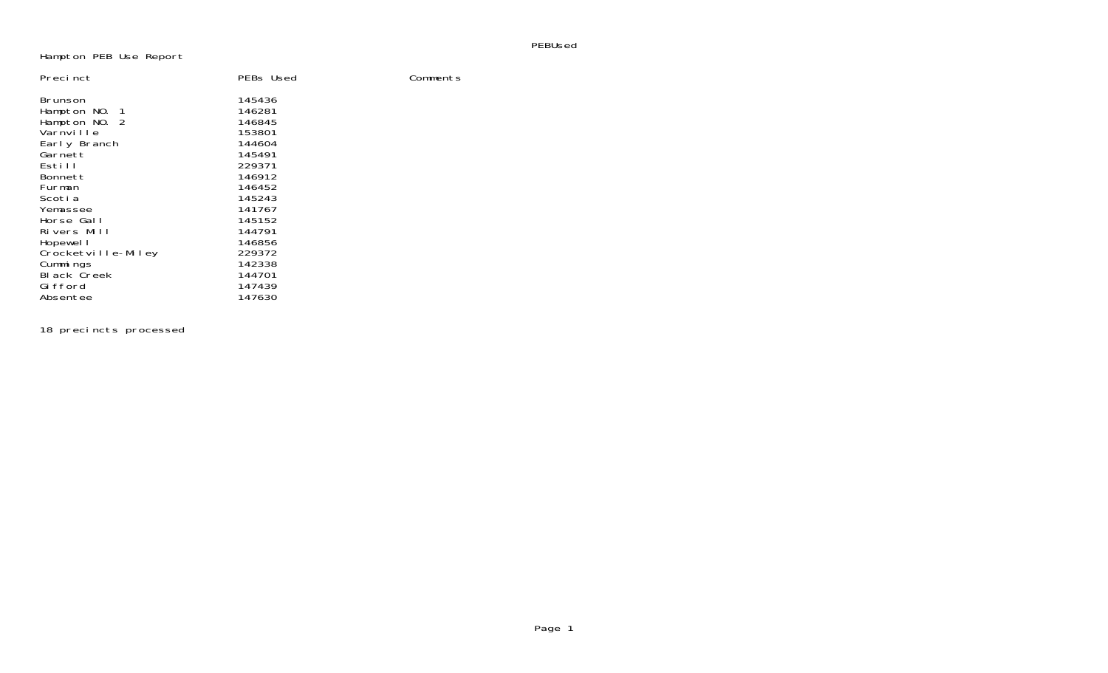#### PEBUsed

### Hampton PEB Use Report

| Precinct           | PEBs Used | Comments |
|--------------------|-----------|----------|
| Brunson            | 145436    |          |
| Hampton NO. 1      | 146281    |          |
| Hampton NO. 2      | 146845    |          |
| Varnville          | 153801    |          |
| Early Branch       | 144604    |          |
| Garnett            | 145491    |          |
| Estill             | 229371    |          |
| Bonnett            | 146912    |          |
| Furman             | 146452    |          |
| Scoti a            | 145243    |          |
| Yemassee           | 141767    |          |
| Horse Gall         | 145152    |          |
| Rivers Mill        | 144791    |          |
| Hopewel I          | 146856    |          |
| Crocketville-Miley | 229372    |          |
| Cummings           | 142338    |          |
| <b>Black Creek</b> | 144701    |          |
| Gi fford           | 147439    |          |
| Absentee           | 147630    |          |

18 precincts processed